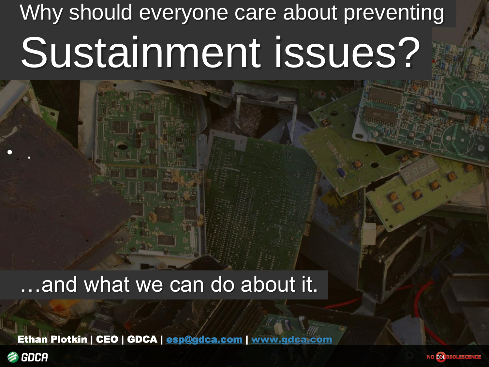# Why should everyone care about preventing Sustainment issues?

…and what we can do about it.

Ethan Plotkin | CEO | GDCA | [esp@gdca.com](mailto:esp@gdca.com) | [www.gdca.com](http://www.gdca.com/)



• .

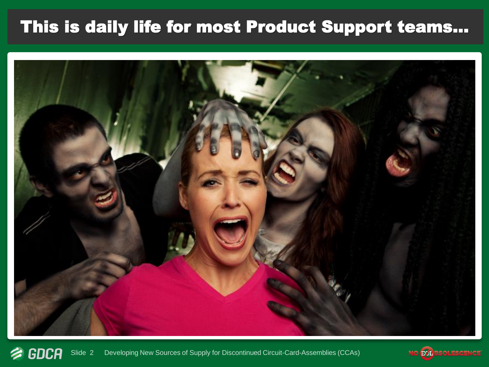## This is daily life for most Product Support teams...



**多 GDCA** Slide 2 Developing New Sources of Supply for Discontinued Circuit-Card-Assemblies (CCAs)

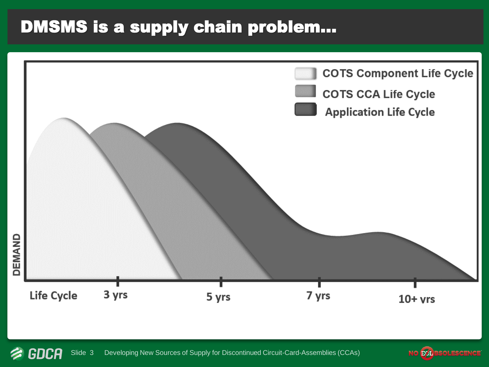### DMSMS is a supply chain problem…



**多 GDCA** Slide 3 Developing New Sources of Supply for Discontinued Circuit-Card-Assemblies (CCAs) **NO EQL** SOLESCI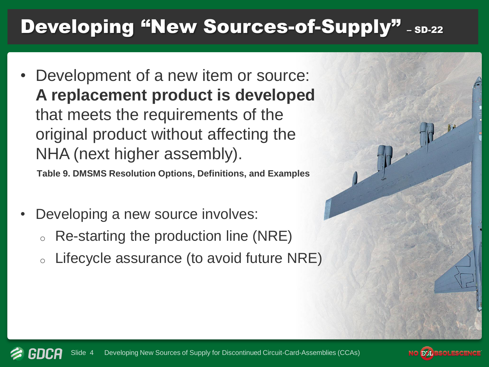## Developing "New Sources-of-Supply" - SD-22

• Development of a new item or source: **A replacement product is developed**  that meets the requirements of the original product without affecting the NHA (next higher assembly).

**Table 9. DMSMS Resolution Options, Definitions, and Examples**

- Developing a new source involves:
	- Re-starting the production line (NRE)
	- $\circ$  Lifecycle assurance (to avoid future NRE)

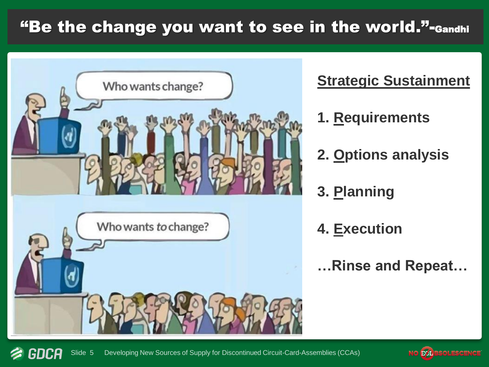### "Be the change you want to see in the world."-Gandhi



#### **Strategic Sustainment**

- **1. Requirements**
- **2. Options analysis**
- **3. Planning**
- **4. Execution**
- **…Rinse and Repeat…**